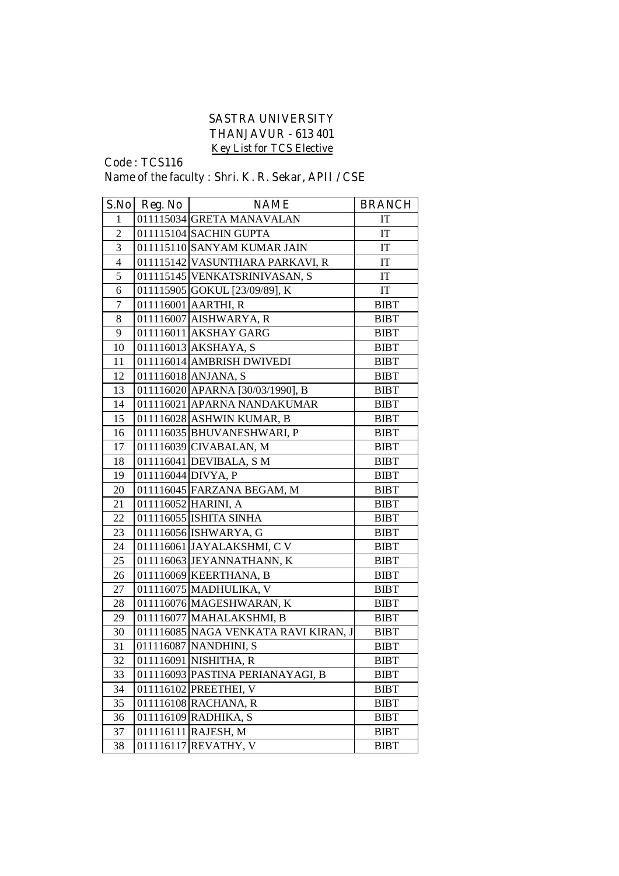## **SASTRA UNIVERSITY THANJAVUR - 613 401 Key List for TCS Elective**

**Code : TCS116**

## **Name of the faculty : Shri. K. R. Sekar, APII / CSE**

| S.No                    | Reg. No            | <b>NAME</b>                          | <b>BRANCH</b> |
|-------------------------|--------------------|--------------------------------------|---------------|
| 1                       |                    | 011115034 GRETA MANAVALAN            | IT            |
| $\overline{2}$          |                    | 011115104 SACHIN GUPTA               | IT            |
| $\overline{\mathbf{3}}$ |                    | 011115110 SANYAM KUMAR JAIN          | IT            |
| $\overline{4}$          |                    | 011115142 VASUNTHARA PARKAVI, R      | IT            |
| 5                       |                    | 011115145 VENKATSRINIVASAN, S        | IT            |
| 6                       |                    | 011115905 GOKUL [23/09/89], K        | IT            |
| $\overline{7}$          |                    | 011116001 AARTHI, R                  | <b>BIBT</b>   |
| 8                       |                    | 011116007 AISHWARYA, R               | <b>BIBT</b>   |
| 9                       |                    | 011116011 AKSHAY GARG                | <b>BIBT</b>   |
| 10                      |                    | 011116013 AKSHAYA, S                 | <b>BIBT</b>   |
| 11                      |                    | 011116014 AMBRISH DWIVEDI            | <b>BIBT</b>   |
| 12                      |                    | 011116018 ANJANA, S                  | <b>BIBT</b>   |
| 13                      |                    | 011116020 APARNA [30/03/1990], B     | <b>BIBT</b>   |
| 14                      |                    | 011116021 APARNA NANDAKUMAR          | <b>BIBT</b>   |
| 15                      |                    | 011116028 ASHWIN KUMAR, B            | <b>BIBT</b>   |
| 16                      |                    | 011116035 BHUVANESHWARI, P           | <b>BIBT</b>   |
| 17                      |                    | 011116039 CIVABALAN, M               | <b>BIBT</b>   |
| 18                      |                    | 011116041 DEVIBALA, SM               | <b>BIBT</b>   |
| 19                      | 011116044 DIVYA, P |                                      | <b>BIBT</b>   |
| 20                      |                    | 011116045 FARZANA BEGAM, M           | <b>BIBT</b>   |
| 21                      |                    | 011116052 HARINI, A                  | <b>BIBT</b>   |
| 22                      |                    | 011116055 ISHITA SINHA               | <b>BIBT</b>   |
| 23                      |                    | 011116056 ISHWARYA, G                | <b>BIBT</b>   |
| 24                      |                    | 011116061 JAYALAKSHMI, C V           | <b>BIBT</b>   |
| 25                      |                    | 011116063 JEYANNATHANN, K            | <b>BIBT</b>   |
| 26                      |                    | 011116069 KEERTHANA, B               | <b>BIBT</b>   |
| 27                      |                    | 011116075 MADHULIKA, V               | <b>BIBT</b>   |
| 28                      |                    | 011116076 MAGESHWARAN, K             | <b>BIBT</b>   |
| 29                      |                    | 011116077 MAHALAKSHMI, B             | <b>BIBT</b>   |
| 30                      |                    | 011116085 NAGA VENKATA RAVI KIRAN, J | <b>BIBT</b>   |
| 31                      |                    | 011116087 NANDHINI, S                | <b>BIBT</b>   |
| 32                      |                    | $ 011116091 $ NISHITHA, R            | <b>BIBT</b>   |
| 33                      |                    | 011116093 PASTINA PERIANAYAGI, B     | <b>BIBT</b>   |
| 34                      |                    | 011116102 PREETHEI, V                | <b>BIBT</b>   |
| 35                      |                    | 011116108 RACHANA, R                 | <b>BIBT</b>   |
| 36                      |                    | 011116109 RADHIKA, S                 | <b>BIBT</b>   |
| 37                      |                    | 011116111 RAJESH, M                  | <b>BIBT</b>   |
| 38                      |                    | 011116117 REVATHY, V                 | <b>BIBT</b>   |